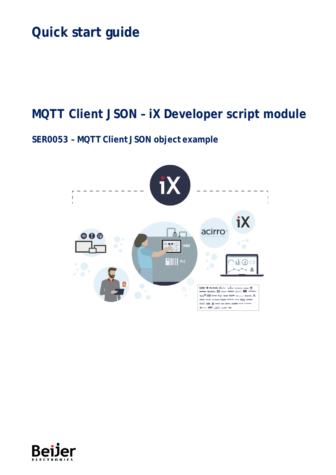# **Quick start guide**

# **MQTT Client JSON – iX Developer script module**

# **SER0053 – MQTT Client JSON object example**



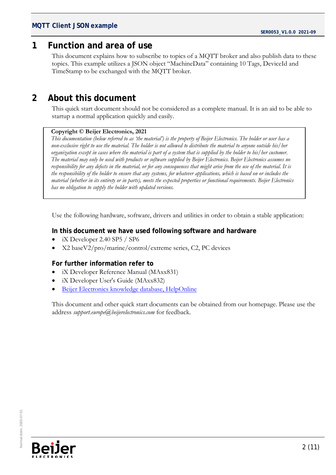## <span id="page-1-0"></span>**1 Function and area of use**

This document explains how to subscribe to topics of a MQTT broker and also publish data to these topics. This example utilizes a JSON object "MachineData" containing 10 Tags, DeviceId and TimeStamp to be exchanged with the MQTT broker.

# <span id="page-1-1"></span>**2 About this document**

This quick start document should not be considered as a complete manual. It is an aid to be able to startup a normal application quickly and easily.

#### **Copyright © Beijer Electronics, 2021**

*This documentation (below referred to as 'the material') is the property of Beijer Electronics. The holder or user has a non-exclusive right to use the material. The holder is not allowed to distribute the material to anyone outside his/her organization except in cases where the material is part of a system that is supplied by the holder to his/her customer. The material may only be used with products or software supplied by Beijer Electronics. Beijer Electronics assumes no responsibility for any defects in the material, or for any consequences that might arise from the use of the material. It is the responsibility of the holder to ensure that any systems, for whatever applications, which is based on or includes the material (whether in its entirety or in parts), meets the expected properties or functional requirements. Beijer Electronics has no obligation to supply the holder with updated versions.*

Use the following hardware, software, drivers and utilities in order to obtain a stable application:

#### **In this document we have used following software and hardware**

- iX Developer 2.40 SP5 / SP6
- X2 baseV2/pro/marine/control/extreme series, C2, PC devices

### **For further information refer to**

- iX Developer Reference Manual (MAxx831)
- iX Developer User's Guide (MAxx832)
- [Beijer Electronics knowledge database, HelpOnline](https://www.beijerelectronics.se/sv-SE/Support/file-archive-tree-page)

This document and other quick start documents can be obtained from our homepage. Please use the address *support.europe@beijerelectronics.com* for feedback.

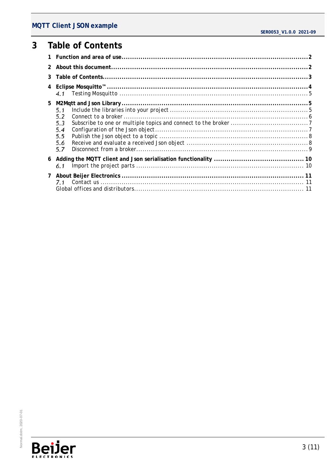## MQTT Client JSON example

#### <span id="page-2-0"></span> $\overline{3}$ **Table of Contents**

| 2            |                                               |  |
|--------------|-----------------------------------------------|--|
|              |                                               |  |
|              | 4.1                                           |  |
| 5            | 5.1<br>5.2<br>5.3<br>5.4<br>5.5<br>5.6<br>5.7 |  |
| 6            | 6.1                                           |  |
| $\mathbf{7}$ |                                               |  |

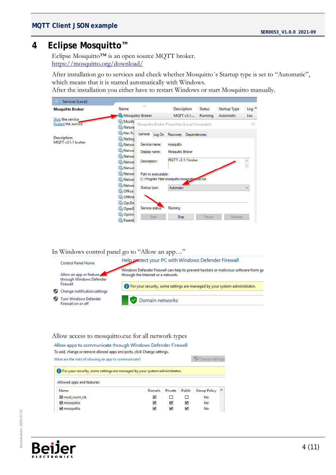## <span id="page-3-0"></span>**4 Eclipse Mosquitto™**

Eclipse Mosquitto™ is an open source MQTT broker. <https://mosquitto.org/download/>

After installation go to services and check whether Mosquitto´s Startup type is set to "Automatic", which means that it is started automatically with Windows.

After the installation you either have to restart Windows or start Mosquitto manually.

| Services (Local)<br>О.                         |                                      |                                                                     |       |                                              |           |                |                     |                  |
|------------------------------------------------|--------------------------------------|---------------------------------------------------------------------|-------|----------------------------------------------|-----------|----------------|---------------------|------------------|
| <b>Mosquitto Broker</b>                        | Name                                 | Α                                                                   |       | Description                                  |           | <b>Status</b>  | <b>Startup Type</b> | Log <sup>A</sup> |
|                                                | Mosquitto Broker                     |                                                                     |       |                                              | MOTT v3.1 | <b>Running</b> | Automatic           | Loc              |
| Stop the service<br><b>Restart the service</b> | <b>C.</b> Mozilla<br><b>Q</b> Natura |                                                                     |       | Mosquitto Broker Properties (Local Computer) |           |                |                     | $\times$         |
| Description:                                   | Net.To<br><b>C</b> Netlog            |                                                                     |       | General Log On Recovery Dependencies         |           |                |                     |                  |
| MQTT v3.1.1 broker                             | <b>Q</b> Netwo                       | Service name:                                                       |       | mosquitto                                    |           |                |                     |                  |
|                                                | Netwo<br><b>CA</b> Netwo             | Display name:                                                       |       | Mosquitto Broker                             |           |                |                     |                  |
|                                                | <b>C.</b> Netwo                      | Description:                                                        |       | MQTT v3.1.1 broker                           |           |                |                     |                  |
|                                                | <b>C.</b> Netwo                      |                                                                     |       |                                              |           |                |                     |                  |
|                                                | <b>C.</b> Netwo<br><b>C.</b> Netwo   | Path to executable:<br>C:\Program Files\mosquitto\mosguitte.exe run |       |                                              |           |                |                     |                  |
|                                                | Netwo<br><b>O</b> Office             | Startup type:                                                       |       | Automatic                                    |           |                |                     | $\checkmark$     |
|                                                | <b>Q.</b> Offline                    |                                                                     |       |                                              |           |                |                     |                  |
|                                                | OpcEn<br>O <sub>c</sub> openS        | Service status:                                                     |       | Running                                      |           |                |                     |                  |
|                                                | Optim<br><b>O</b> Parent             |                                                                     | Start | Stop                                         |           | Pause          | Resume              |                  |

#### In Windows control panel go to "Allow an app…"



#### Allow access to mosquitto.exe for all network types

Allow apps to communicate through Windows Defender Firewall To add, change or remove allowed apps and ports, click Change settings.

Change settings What are the risks of allowing an app to communicate? **D** For your security, some settings are managed by your system administrator. Allowed apps and features: **Group Policy** Name Domain Private Public  $\land$  $\Box$ mod\_rssim\_nk  $\blacksquare$  $\Box$ No  $\overline{\mathbf{v}}$ ■ mosquitto ☑  $\blacksquare$ No ■ mosquitto ☑ ☑ ☑ No

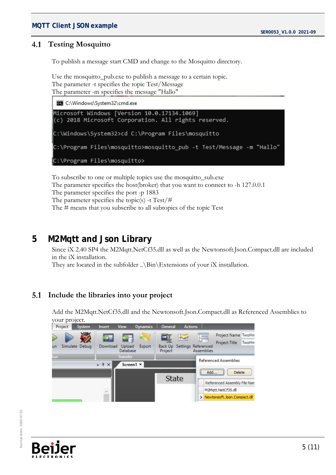#### <span id="page-4-0"></span> $4.1$ **Testing Mosquitto**

To publish a message start CMD and change to the Mosquitto directory.

Use the mosquitto\_pub.exe to publish a message to a certain topic. The parameter -t specifies the topic Test/Message The parameter -m specifies the message "Hallo"



To subscribe to one or multiple topics use the mosquitto\_sub.exe The parameter specifies the host(broker) that you want to connect to -h 127.0.0.1 The parameter specifies the port -p 1883 The parameter specifies the topic(s) -t Test/# The # means that you subscribe to all subtopics of the topic Test

## <span id="page-4-1"></span>**5 M2Mqtt and Json Library**

Since iX 2.40 SP4 the M2Mqtt.NetCf35.dll as well as the Newtonsoft.Json.Compact.dll are included in the iX installation.

They are located in the subfolder ...  $\binom{Bin}{Ex}$  is of your iX installation.

#### <span id="page-4-2"></span> $5.1$ **Include the libraries into your project**

Add the M2Mqtt.NetCf35.dll and the Newtonsoft.Json.Compact.dll as Referenced Assemblies to your project.



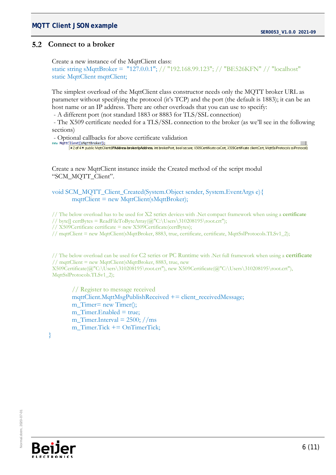# **MQTT Client JSON example**  $\blacksquare$  SER0053\_V1.0.0 2021-09

### <span id="page-5-0"></span>**Connect to a broker**

Create a new instance of the MqttClient class: static string sMqttBroker = "127.0.0.1"; // "192.168.99.123"; // "BE526KFN" // "localhost" static MqttClient mqttClient;

The simplest overload of the MqttClient class constructor needs only the MQTT broker URL as parameter without specifying the protocol (it's TCP) and the port (the default is 1883); it can be an host name or an IP address. There are other overloads that you can use to specify:

- A different port (not standard 1883 or 8883 for TLS/SSL connection)

- The X509 certificate needed for a TLS/SSL connection to the broker (as we'll see in the following sections)

- Optional callbacks for above certificate validation<br>new MgttClient(SMgttBroker));<br><u>2001 and MatClient(IPAddress brokerlpAddress, int brokerPort, bool secure, X509Certificate caCert, X509Certificate clientCert, MgttSsIPro</u>

Create a new MqttClient instance inside the Created method of the script modul "SCM\_MQTT\_Client".

void SCM\_MQTT\_Client\_Created(System.Object sender, System.EventArgs e){ mqttClient = new MqttClient(sMqttBroker);

// The below overload has to be used for X2 series devices with .Net compact framework when using a **certificate**

// byte[] certBytes =  $ReadFileToByteArray( $\omega$ "C:\Users\310208195\root.$ 

// X509Certificate certificate = new X509Certificate(certBytes);

// mqttClient = new MqttClient(sMqttBroker, 8883, true, certificate, certificate, MqttSslProtocols.TLSv1\_2);

// The below overload can be used for C2 series or PC Runtime with .Net full framework when using a **certificate** // mqttClient = new MqttClient(sMqttBroker, 8883, true, new X509Certificate(@"C:\Users\310208195\root.crt"), new X509Certificate(@"C:\Users\310208195\root.crt"), MqttSslProtocols.TLSv1\_2);

// Register to message received  $mqttClient.MqttMsgPublishReceived += client_receivedMessage;$ m\_Timer= new Timer(); m  $Timer. Enabeled = true;$ m Timer.Interval =  $2500$ ; //ms m\_Timer.Tick += OnTimerTick;



}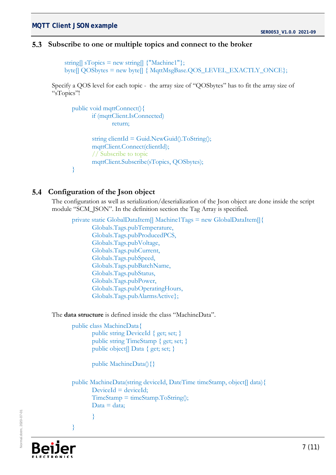### <span id="page-6-0"></span>**Subscribe to one or multiple topics and connect to the broker**

```
string[] sTopics = new string[] \{"Machine1"\};
byte[] QOSbytes = new byte[] { MqttMsgBase.QOS_LEVEL_EXACTLY_ONCE};
```
Specify a QOS level for each topic - the array size of "QOSbytes" has to fit the array size of "sTopics"!

```
public void mqttConnect(){
       if (mqttClient.IsConnected)
               return;
       string clientId = Guid.NewGuid().ToString();
       mqttClient.Connect(clientId);
       // Subscribe to topic
       mqttClient.Subscribe(sTopics, QOSbytes);
}
```
### <span id="page-6-1"></span>**Configuration of the Json object**

The configuration as well as serialization/deserialization of the Json object are done inside the script module "SCM\_JSON". In the definition section the Tag Array is specified.

private static GlobalDataItem[] Machine1Tags = new GlobalDataItem[] { Globals.Tags.pubTemperature, Globals.Tags.pubProducedPCS, Globals.Tags.pubVoltage, Globals.Tags.pubCurrent, Globals.Tags.pubSpeed, Globals.Tags.pubBatchName, Globals.Tags.pubStatus, Globals.Tags.pubPower, Globals.Tags.pubOperatingHours, Globals.Tags.pubAlarmsActive};

The **data structure** is defined inside the class "MachineData".

public class MachineData{ public string DeviceId { get; set; } public string TimeStamp { get; set; } public object[] Data { get; set; }

public MachineData(){}

public MachineData(string deviceId, DateTime timeStamp, object[] data){  $Deviceld = deviceld;$  $TimeStamp = timeStamp.ToString$ ;  $Data = data$ ; }



}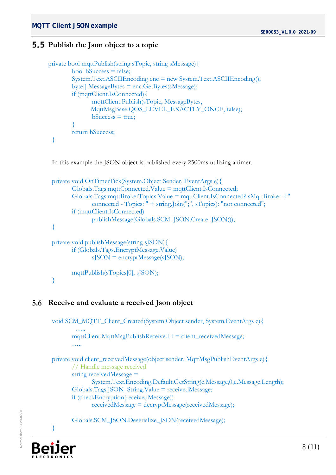# **MQTT Client JSON example**  $\blacksquare$  SER0053\_V1.0.0 2021-09

### <span id="page-7-0"></span>**5.5** Publish the Json object to a topic

```
private bool mqttPublish(string sTopic, string sMessage){
        bool bSuccess = false;
        System.Text.ASCIIEncoding enc = new System.Text.ASCIIEncoding();
        byte[] MessageBytes = enc.GetBytes(sMessage);
        if (mqttClient.IsConnected){
               mqttClient.Publish(sTopic, MessageBytes, 
                MqttMsgBase.QOS_LEVEL_EXACTLY_ONCE, false); 
               bSuccess = true;}
        return bSuccess;
 }
```
In this example the JSON object is published every 2500ms utilizing a timer.

```
private void OnTimerTick(System.Object Sender, EventArgs e){ 
       Globals.Tags.mqttConnected.Value = mqttClient.IsConnected;
       Globals.Tags.mqttBrokerTopics.Value = mqttClient.IsConnected? sMqttBroker +" 
              connected - Topics: " + string.Join(";", sTopics): "not connected";
       if (mqttClient.IsConnected)
              publishMessage(Globals.SCM_JSON.Create_JSON());
}
private void publishMessage(string sJSON){
       if (Globals.Tags.EncryptMessage.Value)
              sJSON = encryptMessage(sJSON);
       mqttPublish(sTopics[0], sJSON);
}
```
#### <span id="page-7-1"></span>**Receive and evaluate a received Json object**

```
void SCM_MQTT_Client_Created(System.Object sender, System.EventArgs e){
 …..
      mqttClient.MqttMsgPublishReceived += client_receivedMessage;
       …..
private void client_receivedMessage(object sender, MqttMsgPublishEventArgs e){
       // Handle message received
      string receivedMessage = 
              System.Text.Encoding.Default.GetString(e.Message,0,e.Message.Length);
      Globals.Tags.JSON_String.Value = receivedMessage;
      if (checkEncryption(receivedMessage))
              receivedMessage = decryptMessage(receivedMessage);
      Globals.SCM_JSON.Deserialize_JSON(receivedMessage);
```


}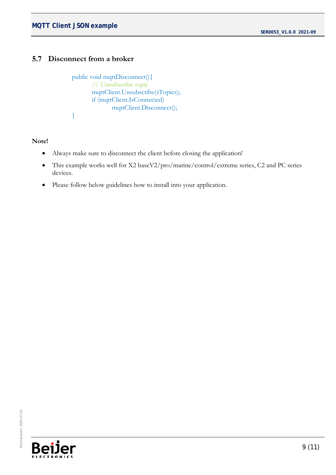# **MQTT Client JSON example** SERO053\_V1.0.0 2021-09

#### <span id="page-8-0"></span> $5.7$ **Disconnect from a broker**

```
public void mqttDisconnect(){
       // Unsubscribe topic
       mqttClient.Unsubscribe(sTopics);
       if (mqttClient.IsConnected)
              mqttClient.Disconnect();
}
```
#### **Note!**

- Always make sure to disconnect the client before closing the application!
- This example works well for X2 baseV2/pro/marine/control/extreme series, C2 and PC series devices.
- Please follow below guidelines how to install into your application.

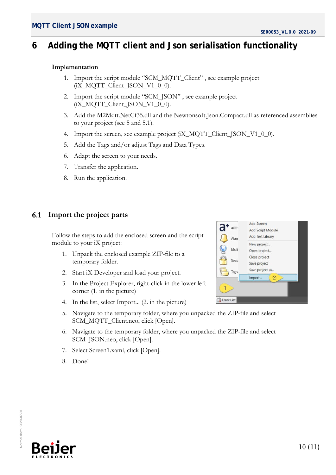# <span id="page-9-0"></span>**6 Adding the MQTT client and Json serialisation functionality**

#### **Implementation**

- 1. Import the script module "SCM\_MQTT\_Client" , see example project (iX\_MQTT\_Client\_JSON\_V1\_0\_0).
- 2. Import the script module "SCM\_JSON" , see example project  $(iX_MQTT_Client_SON_V1_0_0)$ .
- 3. Add the M2Mqtt.NetCf35.dll and the Newtonsoft.Json.Compact.dll as referenced assemblies to your project (see 5 and 5.1).
- 4. Import the screen, see example project (iX\_MQTT\_Client\_JSON\_V1\_0\_0).
- 5. Add the Tags and/or adjust Tags and Data Types.
- 6. Adapt the screen to your needs.
- 7. Transfer the application.
- 8. Run the application.

#### <span id="page-9-1"></span>6.1 **Import the project parts**

Follow the steps to add the enclosed screen and the script module to your iX project:

- 1. Unpack the enclosed example ZIP-file to a temporary folder.
- 2. Start iX Developer and load your project.
- 3. In the Project Explorer, right-click in the lower left corner (1. in the picture)
- 4. In the list, select Import... (2. in the picture)
- 5. Navigate to the temporary folder, where you unpacked the ZIP-file and select SCM\_MQTT\_Client.neo, click [Open].
- 6. Navigate to the temporary folder, where you unpacked the ZIP-file and select SCM\_JSON.neo, click [Open].
- 7. Select Screen1.xaml, click [Open].
- 8. Done!

| <b>Add Screen</b>        |  |  |  |  |  |
|--------------------------|--|--|--|--|--|
| <b>Add Script Module</b> |  |  |  |  |  |
| Add Text Library         |  |  |  |  |  |
| New project              |  |  |  |  |  |
| Open project             |  |  |  |  |  |
| Close project            |  |  |  |  |  |
| Save project             |  |  |  |  |  |
| Save project as          |  |  |  |  |  |
| $\overline{2}$<br>Import |  |  |  |  |  |
|                          |  |  |  |  |  |
|                          |  |  |  |  |  |
|                          |  |  |  |  |  |